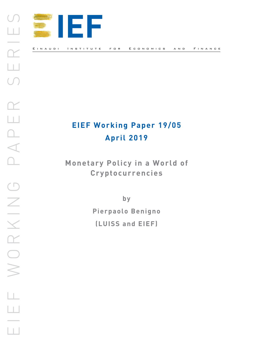

Einaudi Institute for Economics and Finance

# **EIEF Working Paper 19/05 April 2019**

**Monetary Policy in a World of Cryptocurrencies**

**by**

**Pierpaolo Benigno (LUISS and EIEF)**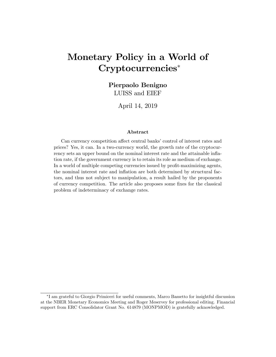# Monetary Policy in a World of Cryptocurrencies

# Pierpaolo Benigno LUISS and EIEF

April 14, 2019

#### Abstract

Can currency competition affect central banks' control of interest rates and prices? Yes, it can. In a two-currency world, the growth rate of the cryptocurrency sets an upper bound on the nominal interest rate and the attainable inflation rate, if the government currency is to retain its role as medium of exchange. In a world of multiple competing currencies issued by profit-maximizing agents, the nominal interest rate and inflation are both determined by structural factors, and thus not subject to manipulation, a result hailed by the proponents of currency competition. The article also proposes some Öxes for the classical problem of indeterminacy of exchange rates.

I am grateful to Giorgio Primiceri for useful comments, Marco Bassetto for insightful discussion at the NBER Monetary Economics Meeting and Roger Meservey for professional editing. Financial support from ERC Consolidator Grant No. 614879 (MONPMOD) is gratefully acknowledged.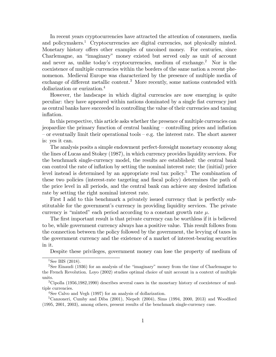In recent years cryptocurrencies have attracted the attention of consumers, media and policymakers.<sup>1</sup> Cryptocurrencies are digital currencies, not physically minted. Monetary history offers other examples of uncoined money. For centuries, since Charlemagne, an "imaginary" money existed but served only as unit of account and never as, unlike today's cryptocurrencies, medium of exchange.<sup>2</sup> Nor is the coexistence of multiple currencies within the borders of the same nation a recent phenomenon. Medieval Europe was characterized by the presence of multiple media of exchange of different metallic content.<sup>3</sup> More recently, some nations contended with dollarization or eurization.<sup>4</sup>

However, the landscape in which digital currencies are now emerging is quite peculiar: they have appeared within nations dominated by a single flat currency just as central banks have succeeded in controlling the value of their currencies and taming inflation.

In this perspective, this article asks whether the presence of multiple currencies can jeopardize the primary function of central banking  $\sim$  controlling prices and inflation  $\sim$  or eventually limit their operational tools  $\sim$  e.g. the interest rate. The short answer is: yes it can.

The analysis posits a simple endowment perfect-foresight monetary economy along the lines of Lucas and Stokey (1987), in which currency provides liquidity services. For the benchmark single-currency model, the results are established: the central bank can control the rate of inflation by setting the nominal interest rate; the (initial) price level instead is determined by an appropriate real tax policy.<sup>5</sup> The combination of these two policies (interest-rate targeting and fiscal policy) determines the path of the price level in all periods, and the central bank can achieve any desired ináation rate by setting the right nominal interest rate.

First I add to this benchmark a privately issued currency that is perfectly substitutable for the government's currency in providing liquidity services. The private currency is "minted" each period according to a constant growth rate  $\mu$ .

The first important result is that private currency can be worthless if it is believed to be, while government currency always has a positive value. This result follows from the connection between the policy followed by the government, the levying of taxes in the government currency and the existence of a market of interest-bearing securities in it.

Despite these privileges, government money can lose the property of medium of

<sup>&</sup>lt;sup>1</sup>See BIS  $(2018)$ .

<sup>&</sup>lt;sup>2</sup>See Einaudi (1936) for an analysis of the "imaginary" money from the time of Charlemagne to the French Revolution. Loyo (2002) studies optimal choice of unit account in a context of multiple units.

<sup>3</sup>Cipolla (1956,1982,1990) describes several cases in the monetary history of coexistence of multiple currencies.

<sup>&</sup>lt;sup>4</sup>See Calvo and Vegh (1997) for an analysis of dollarization.

 ${}^5$ Canzoneri, Cumby and Diba (2001), Niepelt (2004), Sims (1994, 2000, 2013) and Woodford (1995, 2001, 2003), among others, present results of the benchmark single-currency case.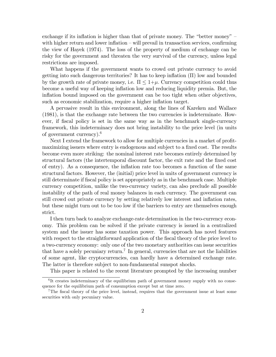exchange if its inflation is higher than that of private money. The "better money"  $$ with higher return and lower inflation  $-\text{will}$  prevail in transaction services, confirming the view of Hayek (1974). The loss of the property of medium of exchange can be risky for the government and threaten the very survival of the currency, unless legal restrictions are imposed.

What happens if the government wants to crowd out private currency to avoid getting into such dangerous territories? It has to keep inflation  $(\Pi)$  low and bounded by the growth rate of private money, i.e.  $\Pi \leq 1+\mu$ . Currency competition could thus become a useful way of keeping ináation low and reducing liquidity premia. But, the inflation bound imposed on the government can be too tight when other objectives, such as economic stabilization, require a higher inflation target.

A pervasive result in this environment, along the lines of Kareken and Wallace (1981), is that the exchange rate between the two currencies is indeterminate. However, if Öscal policy is set in the same way as in the benchmark single-currency framework, this indeterminacy does not bring instability to the price level (in units of government currency).<sup>6</sup>

Next I extend the framework to allow for multiple currencies in a market of profitmaximizing issuers where entry is endogenous and subject to a fixed cost. The results become even more striking: the nominal interest rate becomes entirely determined by structural factors (the intertemporal discount factor, the exit rate and the Öxed cost of entry). As a consequence, the ináation rate too becomes a function of the same structural factors. However, the (initial) price level in units of government currency is still determinate if fiscal policy is set appropriately as in the benchmark case. Multiple currency competition, unlike the two-currency variety, can also preclude all possible instability of the path of real money balances in each currency. The government can still crowd out private currency by setting relatively low interest and ináation rates, but these might turn out to be too low if the barriers to entry are themselves enough strict.

I then turn back to analyze exchange-rate determination in the two-currency economy. This problem can be solved if the private currency is issued in a centralized system and the issuer has some taxation power. This approach has novel features with respect to the straightforward application of the fiscal theory of the price level to a two-currency economy: only one of the two monetary authorities can issue securities that have a solely pecuniary return.<sup>7</sup> In general, currencies that are not the liabilities of some agent, like cryptocurrencies, can hardly have a determined exchange rate. The latter is therefore subject to non-fundamental sunspot shocks.

This paper is related to the recent literature prompted by the increasing number

<sup>&</sup>lt;sup>6</sup>It creates indeterminacy of the equilibrium path of government money supply with no consequence for the equilibrium path of consumption except but at time zero.

<sup>&</sup>lt;sup>7</sup>The fiscal theory of the price level, instead, requires that the government issue at least some securities with only pecuniary value.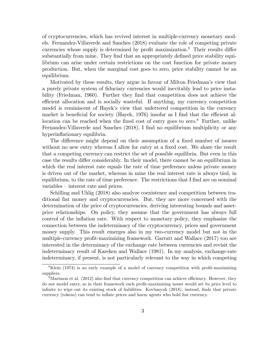of cryptocurrencies, which has revived interest in multiple-currency monetary models. Fernandez-Villaverde and Sanches (2018) evaluate the role of competing private currencies whose supply is determined by profit maximization.<sup>8</sup> Their results differ substantially from mine. They find that an appropriately defined price stability equilibrium can arise under certain restrictions on the cost function for private money production. But, when the marginal cost goes to zero, price stability cannot be an equilibrium.

Motivated by these results, they argue in favour of Milton Friedmanís view that a purely private system of fiduciary currencies would inevitably lead to price instability (Friedman, 1960). Further they Önd that competition does not achieve the efficient allocation and is socially wasteful. If anything, my currency competition model is reminiscent of Hayek's view that unfettered competition in the currency market is beneficial for society (Hayek,  $1976$ ) insofar as I find that the efficient allocation can be reached when the fixed cost of entry goes to zero.<sup>9</sup> Further, unlike Fernandez-Villaverde and Sanches (2018), I find no equilibrium multiplicity or any hyperinflationary equilibria.

The difference might depend on their assumption of a fixed number of issuers without no new entry whereas I allow for entry at a fixed cost. We share the result that a competing currency can restrict the set of possible equilibria. But even in this case the results differ considerably. In their model, there cannot be an equilibrium in which the real interest rate equals the rate of time preference unless private money is driven out of the market, whereas in mine the real interest rate is always tied, in equilibrium, to the rate of time preference. The restrictions that I find are on nominal variables – interest rate and prices.

Schilling and Uhlig (2018) also analyze coexistence and competition between traditional fiat money and cryptocurrencies. But, they are more concerned with the determination of the price of cryptocurrencies, deriving interesting bounds and assetprice relationships. On policy, they assume that the government has always full control of the inflation rate. With respect to monetary policy, they emphasize the connection between the indeterminacy of the cryptocurrency, prices and government money supply. This result emerges also in my two-currency model but not in the multiple-currency profit-maximizing framework. Garratt and Wallace (2017) too are interested in the determinacy of the exchange rate between currencies and revisit the indeterminacy result of Kareken and Wallace (1981). In my analysis, exchange-rate indeterminacy, if present, is not particularly relevant to the way in which competing

 $8$ Klein (1974) is an early example of a model of currency competition with profit-maximizing suppliers.

<sup>&</sup>lt;sup>9</sup>Marimon et al. (2012) also find that currency competition can achieve efficiency. However, they do not model entry, so in their framework each profit-maximizing issuer would set its price level to infinite to wipe out its existing stock of liabilities. Kovbasyuk (2018), instead, finds that private currency (tokens) can tend to inflate prices and harm agents who hold flat currency.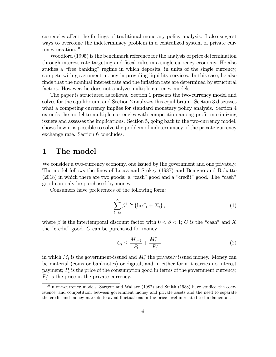currencies affect the findings of traditional monetary policy analysis. I also suggest ways to overcome the indeterminacy problem in a centralized system of private currency creation.<sup>10</sup>

Woodford (1995) is the benchmark reference for the analysis of price determination through interest-rate targeting and Öscal rules in a single-currency economy. He also studies a "free banking" regime in which deposits, in units of the single currency, compete with government money in providing liquidity services. In this case, he also finds that the nominal interest rate and the inflation rate are determined by structural factors. However, he does not analyze multiple-currency models.

The paper is structured as follows. Section 1 presents the two-currency model and solves for the equilibrium, and Section 2 analyzes this equilibrium. Section 3 discusses what a competing currency implies for standard monetary policy analysis. Section 4 extends the model to multiple currencies with competition among profit-maximizing issuers and assesses the implications. Section 5, going back to the two-currency model, shows how it is possible to solve the problem of indeterminacy of the private-currency exchange rate. Section 6 concludes.

### 1 The model

We consider a two-currency economy, one issued by the government and one privately. The model follows the lines of Lucas and Stokey (1987) and Benigno and Robatto  $(2018)$  in which there are two goods: a "cash" good and a "credit" good. The "cash" good can only be purchased by money.

Consumers have preferences of the following form:

$$
\sum_{t=t_0}^{\infty} \beta^{t-t_0} \left\{ \ln C_t + X_t \right\},\tag{1}
$$

where  $\beta$  is the intertemporal discount factor with  $0 < \beta < 1$ ; C is the "cash" and X the "credit" good.  $C$  can be purchased for money

$$
C_t \le \frac{M_{t-1}}{P_t} + \frac{M_{t-1}^*}{P_t^*} \tag{2}
$$

in which  $M_t$  is the government-issued and  $M_t^*$  the privately issued money. Money can be material (coins or banknotes) or digital, and in either form it carries no interest payment;  $P_t$  is the price of the consumption good in terms of the government currency,  $P_t^*$  is the price in the private currency.

 $10$  In one-currency models, Sargent and Wallace (1982) and Smith (1988) have studied the coexistence, and competition, between government money and private assets and the need to separate the credit and money markets to avoid fluctuations in the price level unrelated to fundamentals.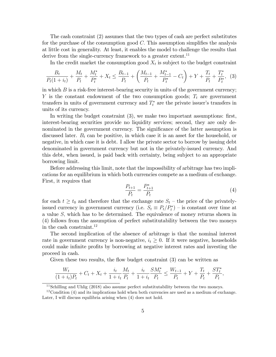The cash constraint (2) assumes that the two types of cash are perfect substitutes for the purchase of the consumption good  $C$ . This assumption simplifies the analysis at little cost in generality. At least, it enables the model to challenge the results that derive from the single-currency framework to a greater extent.<sup>11</sup>

In the credit market the consumption good  $X_t$  is subject to the budget constraint

$$
\frac{B_t}{P_t(1+i_t)} + \frac{M_t}{P_t} + \frac{M_t^*}{P_t^*} + X_t \le \frac{B_{t-1}}{P_t} + \left(\frac{M_{t-1}}{P_t} + \frac{M_{t-1}^*}{P_t^*} - C_t\right) + Y + \frac{T_t}{P_t} + \frac{T_t^*}{P_t^*},
$$
(3)

in which  $B$  is a risk-free interest-bearing security in units of the government currency; Y is the constant endowment of the two consumption goods;  $T_t$  are government transfers in units of government currency and  $T_t^*$  are the private issuer's transfers in units of its currency.

In writing the budget constraint  $(3)$ , we make two important assumptions: first, interest-bearing securities provide no liquidity services; second, they are only denominated in the government currency. The significance of the latter assumption is discussed later.  $B_t$  can be positive, in which case it is an asset for the household, or negative, in which case it is debt. I allow the private sector to borrow by issuing debt denominated in government currency but not in the privately-issued currency. And this debt, when issued, is paid back with certainty, being subject to an appropriate borrowing limit.

Before addressing this limit, note that the impossibility of arbitrage has two implications for an equilibrium in which both currencies compete as a medium of exchange. First, it requires that

$$
\frac{P_{t+1}}{P_t} = \frac{P_{t+1}^*}{P_t} \tag{4}
$$

for each  $t \geq t_0$  and therefore that the exchange rate  $S_t$  – the price of the privatelyissued currency in government currency (i.e.  $S_t \equiv P_t/P_t^*$ ) – is constant over time at a value S; which has to be determined. The equivalence of money returns shown in (4) follows from the assumption of perfect substitutability between the two moneys in the cash constraint.<sup>12</sup>

The second implication of the absence of arbitrage is that the nominal interest rate in government currency is non-negative,  $i_t \geq 0$ . If it were negative, households could make infinite profits by borrowing at negative interest rates and investing the proceed in cash.

Given these two results, the flow budget constraint  $(3)$  can be written as

$$
\frac{W_t}{(1+i_t)P_t} + C_t + X_t + \frac{i_t}{1+i_t} \frac{M_t}{P_t} + \frac{i_t}{1+i_t} \frac{SM_t^*}{P_t} \le \frac{W_{t-1}}{P_t} + Y + \frac{T_t}{P_t} + \frac{ST_t^*}{P_t},
$$

 $11$ Schilling and Uhlig (2018) also assume perfect substitutability between the two moneys.

 $12$ Condition (4) and its implications hold when both currencies are used as a medium of exchange. Later, I will discuss equilibria arising when (4) does not hold.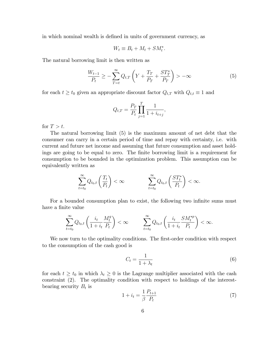in which nominal wealth is defined in units of government currency, as

$$
W_t \equiv B_t + M_t + SM_t^*.
$$

The natural borrowing limit is then written as

$$
\frac{W_{t-1}}{P_t} \ge -\sum_{T=t}^{\infty} Q_{t,T} \left( Y + \frac{T_T}{P_T} + \frac{ST_T^*}{P_T} \right) > -\infty
$$
\n(5)

for each  $t \geq t_0$  given an appropriate discount factor  $Q_{t,T}$  with  $Q_{t,t} \equiv 1$  and

$$
Q_{t,T} = \frac{P_T}{P_t} \prod_{j=1}^T \frac{1}{1 + i_{t+j}},
$$

for  $T > t$ .

The natural borrowing limit (5) is the maximum amount of net debt that the consumer can carry in a certain period of time and repay with certainty, i.e. with current and future net income and assuming that future consumption and asset holdings are going to be equal to zero. The finite borrowing limit is a requirement for consumption to be bounded in the optimization problem. This assumption can be equivalently written as

$$
\sum_{t=t_0}^{\infty} Q_{t_0,t} \left( \frac{T_t}{P_t} \right) < \infty \qquad \qquad \sum_{t=t_0}^{\infty} Q_{t_0,t} \left( \frac{ST_t^*}{P_t} \right) < \infty.
$$

For a bounded consumption plan to exist, the following two infinite sums must have a finite value

$$
\sum_{t=t_0}^{\infty} Q_{t_0,t} \left( \frac{i_t}{1+i_t} \frac{M_t^g}{P_t} \right) < \infty \qquad \sum_{t=t_0}^{\infty} Q_{t_0,t} \left( \frac{i_t}{1+i_t} \frac{S M_t^{*p}}{P_t} \right) < \infty.
$$

We now turn to the optimality conditions. The first-order condition with respect to the consumption of the cash good is

$$
C_t = \frac{1}{1 + \lambda_t} \tag{6}
$$

for each  $t \geq t_0$  in which  $\lambda_t \geq 0$  is the Lagrange multiplier associated with the cash constraint (2). The optimality condition with respect to holdings of the interestbearing security  $B_t$  is

$$
1 + i_t = \frac{1}{\beta} \frac{P_{t+1}}{P_t}
$$
\n(7)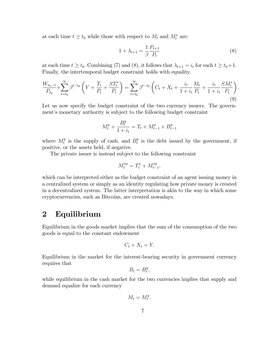at each time  $t \ge t_0$  while those with respect to  $M_t$  and  $M_t^*$  are:

$$
1 + \lambda_{t+1} = \frac{1}{\beta} \frac{P_{t+1}}{P_t}
$$
 (8)

:

at each time  $t \ge t_0$ . Combining (7) and (8), it follows that  $\lambda_{t+1} = i_t$  for each  $t \ge t_0+1$ . Finally, the intertemporal budget constraint holds with equality,

$$
\frac{W_{t_0-1}}{P_{t_0}} + \sum_{t=t_0}^{\infty} \beta^{t-t_0} \left( Y + \frac{T_t}{P_t} + \frac{ST_t^*}{P_t} \right) = \sum_{t=t_0}^{\infty} \beta^{t-t_0} \left( C_t + X_t + \frac{i_t}{1+i_t} \frac{M_t}{P_t} + \frac{i_t}{1+i_t} \frac{SM_t^*}{P_t} \right)
$$
\n(9)

Let us now specify the budget constraint of the two currency issuers. The government's monetary authority is subject to the following budget constraint

$$
M_t^g + \frac{B_t^g}{1 + i_t} = T_t + M_{t-1}^g + B_{t-1}^g
$$

where  $M_t^g$  $t_t^g$  is the supply of cash, and  $B_t^g$  $t<sub>t</sub><sup>g</sup>$  is the debt issued by the government, if positive, or the assets held, if negative.

The private issuer is instead subject to the following constraint

$$
M_t^{*p} = T_t^* + M_{t-1}^{*p},
$$

which can be interpreted either as the budget constraint of an agent issuing money in a centralized system or simply as an identity regulating how private money is created in a decentralized system. The latter interpretation is akin to the way in which some cryptocurrencies, such as Bitcoins, are created nowadays.

## 2 Equilibrium

Equilibrium in the goods market implies that the sum of the consumption of the two goods is equal to the constant endowment

$$
C_t + X_t = Y.
$$

Equilibrium in the market for the interest-bearing security in government currency requires that

$$
B_t=B_t^g,
$$

while equilibrium in the cash market for the two currencies implies that supply and demand equalize for each currency

$$
M_t = M_t^g,
$$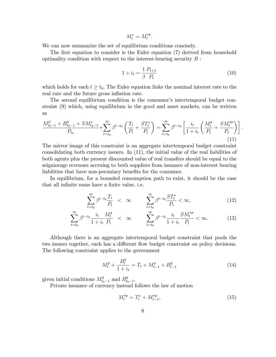$$
M_t^* = M_t^{*p}.
$$

We can now summarize the set of equilibrium conditions concisely.

The first equation to consider is the Euler equation (7) derived from household optimality condition with respect to the interest-bearing security  $B$ :

$$
1 + i_t = \frac{1}{\beta} \frac{P_{t+1}}{P_t}
$$
\n(10)

which holds for each  $t \geq t_0$ . The Euler equation links the nominal interest rate to the real rate and the future gross inflation rate.

The second equilibrium condition is the consumer's intertemporal budget constraint (9) which, using equilibrium in the good and asset markets, can be written as

$$
\frac{M_{t_0-1}^g + B_{t_0-1}^g + SM_{t_0-1}^*}{P_{t_0}} + \sum_{t=t_0}^{\infty} \beta^{t-t_0} \left( \frac{T_t}{P_t} + \frac{ST_t^*}{P_t} \right) = \sum_{t=t_0}^{\infty} \beta^{t-t_0} \left[ \frac{i_t}{1+i_t} \left( \frac{M_t^g}{P_t} + \frac{SM_t^{*p}}{P_t} \right) \right].
$$
\n(11)

The mirror image of this constraint is an aggregate intertemporal budget constraint consolidating both currency issuers. In (11), the initial value of the real liabilities of both agents plus the present discounted value of real transfers should be equal to the seigniorage revenues accruing to both suppliers from issuance of non-interest bearing liabilities that have non-pecuniary benefits for the consumer.

In equilibrium, for a bounded consumption path to exist, it should be the case that all infinite sums have a finite value, i.e.

$$
\sum_{t=t_0}^{\infty} \beta^{t-t_0} \frac{T_t}{P_t} < \infty \qquad \sum_{t=t_0}^{\infty} \beta^{t-t_0} \frac{ST_t^*}{P_t} < \infty,\tag{12}
$$

$$
\sum_{t=t_0}^{\infty} \beta^{t-t_0} \frac{i_t}{1+i_t} \frac{M_t^g}{P_t} < \infty \qquad \sum_{t=t_0}^{\infty} \beta^{t-t_0} \frac{i_t}{1+i_t} \frac{SM_t^{*p}}{P_t} < \infty. \tag{13}
$$

Although there is an aggregate intertemporal budget constraint that pools the two issuers together, each has a different flow budget constraint on policy decisions. The following constraint applies to the government

$$
M_t^g + \frac{B_t^g}{1 + i_t} = T_t + M_{t-1}^g + B_{t-1}^g \tag{14}
$$

given initial conditions  $M_{t_0-1}^g$  and  $B_{t_0}^g$  $\frac{g}{t_0-1}$ .

Private issuance of currency instead follows the law of motion

$$
M_t^{*p} = T_t^* + M_{t-1}^{*p},\tag{15}
$$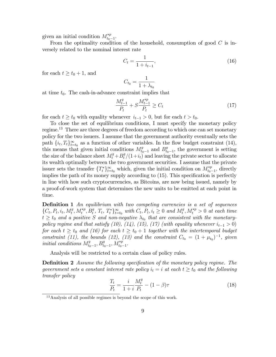given an initial condition  $M_{t_0}^{*p}$  $\binom{np}{t_0-1}$ .

From the optimality condition of the household, consumption of good  $C$  is inversely related to the nominal interest rate

$$
C_t = \frac{1}{1 + i_{t-1}},\tag{16}
$$

for each  $t \ge t_0 + 1$ , and

$$
C_{t_0} = \frac{1}{1 + \lambda_{t_0}}
$$

at time  $t_0$ . The cash-in-advance constraint implies that

$$
\frac{M_{t-1}^g}{P_t} + S \frac{M_{t-1}^{*p}}{P_t} \ge C_t
$$
\n(17)

for each  $t \geq t_0$  with equality whenever  $i_{t-1} > 0$ , but for each  $t > t_0$ .

To close the set of equilibrium conditions, I must specify the monetary policy regime.<sup>13</sup> There are three degrees of freedom according to which one can set monetary policy for the two issuers. I assume that the government authority eventually sets the path  $\{i_t, T_t\}_{t=t_0}^{\infty}$  as a function of other variables. In the flow budget constraint (14), this means that given initial conditions  $M_{t_0-1}^g$  and  $B_{t_0}^g$  $t_{0-1}$ , the government is setting the size of the balance sheet  $M_t^g + B_t^g/(1+i_t)$  and leaving the private sector to allocate its wealth optimally between the two government securities. I assume that the private issuer sets the transfer  $\{T_t^*\}_{t=t_0}^{\infty}$  which, given the initial condition on  $M_{t_0}^{*p}$ .  $t_{0-1}^{*p}$ , directly implies the path of its money supply according to  $(15)$ . This specification is perfectly in line with how such cryptocurrencies, as Bitcoins, are now being issued, namely by a proof-of-work system that determines the new units to be emitted at each point in time.

**Definition 1** An equilibrium with two competing currencies is a set of sequences  $\{C_t, P_t, i_t, M_t^g, M_t^{*p}, B_t^g, T_t, T_t^*\}_{t=t_0}^{\infty}$  with  $C_t, P_t, i_t \geq 0$  and  $M_t^g$  $t_t^g, M_t^{*p} > 0$  at each time  $t \geq t_0$  and a positive S and non-negative  $\lambda_{t_0}$  that are consistent with the monetarypolicy regime and that satisfy (10), (14), (15), (17) (with equality whenever  $i_{t-1} > 0$ ) for each  $t \geq t_0$  and (16) for each  $t \geq t_0 + 1$  together with the intertemporal budget constraint (11), the bounds (12), (13) and the constraint  $C_{t_0} = (1 + \mu_{t_0})^{-1}$ , given initial conditions  $M_t^g$  $t_{0-1}^{g}, B_{t_{0}-1}^{g}, M_{t_{0}-1}^{*p}.$ 

Analysis will be restricted to a certain class of policy rules.

**Definition 2** Assume the following specification of the monetary policy regime. The government sets a constant interest rate policy  $i_t = i$  at each  $t \geq t_0$  and the following transfer policy

$$
\frac{T_t}{P_t} = \frac{i}{1+i} \frac{M_t^g}{P_t} - (1-\beta)\tau
$$
\n(18)

<sup>&</sup>lt;sup>13</sup>Analysis of all possible regimes is beyond the scope of this work.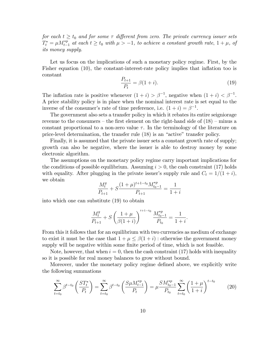for each  $t \geq t_0$  and for some  $\tau$  different from zero. The private currency issuer sets  $T_t^* = \mu M_{t-1}^{*p}$  at each  $t \ge t_0$  with  $\mu > -1$ , to achieve a constant growth rate,  $1 + \mu$ , of its money supply.

Let us focus on the implications of such a monetary policy regime. First, by the Fisher equation  $(10)$ , the constant-interest-rate policy implies that inflation too is constant

$$
\frac{P_{t+1}}{P_t} = \beta(1+i). \tag{19}
$$

The inflation rate is positive whenever  $(1 + i) > \beta^{-1}$ , negative when  $(1 + i) < \beta^{-1}$ . A price stability policy is in place when the nominal interest rate is set equal to the inverse of the consumer's rate of time preference, i.e.  $(1 + i) = \beta^{-1}$ .

The government also sets a transfer policy in which it rebates its entire seigniorage revenue to the consumers – the first element on the right-hand side of  $(18)$  – minus a constant proportional to a non-zero value  $\tau$ . In the terminology of the literature on price-level determination, the transfer rule  $(18)$  is an "active" transfer policy.

Finally, it is assumed that the private issuer sets a constant growth rate of supply; growth can also be negative, where the issuer is able to destroy money by some electronic algorithm.

The assumptions on the monetary policy regime carry important implications for the conditions of possible equilibrium. Assuming  $i > 0$ , the cash constraint (17) holds with equality. After plugging in the private issuer's supply rule and  $C_t = 1/(1 + i)$ , we obtain

$$
\frac{M_t^g}{P_{t+1}}+S\frac{(1+\mu)^{t+1-t_0}M_{t_0-1}^{*p}}{P_{t+1}}=\frac{1}{1+i}
$$

into which one can substitute (19) to obtain

$$
\frac{M_t^g}{P_{t+1}} + S\left(\frac{1+\mu}{\beta(1+i)}\right)^{t+1-t_0} \frac{M_{t_0-1}^{*p}}{P_{t_0}} = \frac{1}{1+i}.
$$

From this it follows that for an equilibrium with two currencies as medium of exchange to exist it must be the case that  $1 + \mu \leq \beta(1 + i)$ : otherwise the government money supply will be negative within some finite period of time, which is not feasible.

Note, however, that when  $i = 0$ , then the cash constraint (17) holds with inequality so it is possible for real money balances to grow without bound.

Moreover, under the monetary policy regime defined above, we explicitly write the following summations

$$
\sum_{t=t_0}^{\infty} \beta^{t-t_0} \left( \frac{ST_t^*}{P_t} \right) = \sum_{t=t_0}^{\infty} \beta^{t-t_0} \left( \frac{S \mu M_{t-1}^{*p}}{P_t} \right) = \mu \frac{S M_{t_0-1}^{*p}}{P_{t_0}} \sum_{t=t_0}^{\infty} \left( \frac{1+\mu}{1+i} \right)^{t-t_0} \tag{20}
$$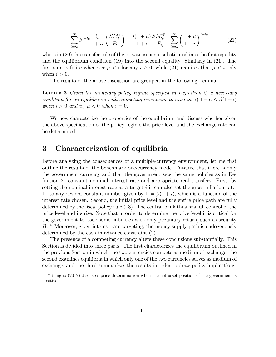$$
\sum_{t=t_0}^{\infty} \beta^{t-t_0} \frac{i_t}{1+i_t} \left( \frac{SM_t^*}{P_t} \right) = \frac{i(1+\mu)}{1+i} \frac{SM_{t_0-1}^{*p}}{P_{t_0}} \sum_{t=t_0}^{\infty} \left( \frac{1+\mu}{1+i} \right)^{t-t_0}
$$
(21)

where in  $(20)$  the transfer rule of the private issuer is substituted into the first equality and the equilibrium condition (19) into the second equality. Similarly in (21). The first sum is finite whenever  $\mu < i$  for any  $i \geq 0$ , while (21) requires that  $\mu < i$  only when  $i > 0$ .

The results of the above discussion are grouped in the following Lemma.

**Lemma 3** Given the monetary policy regime specified in Definition 2, a necessary condition for an equilibrium with competing currencies to exist is: i)  $1 + \mu \leq \beta(1 + i)$ when  $i > 0$  and ii)  $\mu < 0$  when  $i = 0$ .

We now characterize the properties of the equilibrium and discuss whether given the above specification of the policy regime the price level and the exchange rate can be determined.

## 3 Characterization of equilibria

Before analyzing the consequences of a multiple-currency environment, let me first outline the results of the benchmark one-currency model. Assume that there is only the government currency and that the government sets the same policies as in Definition 2: constant nominal interest rate and appropriate real transfers. First, by setting the nominal interest rate at a target  $i$  it can also set the gross inflation rate,  $\Pi$ , to any desired constant number given by  $\Pi = \beta(1+i)$ , which is a function of the interest rate chosen. Second, the initial price level and the entire price path are fully determined by the fiscal policy rule  $(18)$ . The central bank thus has full control of the price level and its rise. Note that in order to determine the price level it is critical for the government to issue some liabilities with only pecuniary return, such as security B.<sup>14</sup> Moreover, given interest-rate targeting, the money supply path is endogenously determined by the cash-in-advance constraint (2).

The presence of a competing currency alters these conclusions substantially. This Section is divided into three parts. The first characterizes the equilibrium outlined in the previous Section in which the two currencies compete as medium of exchange; the second examines equilibria in which only one of the two currencies serves as medium of exchange; and the third summarizes the results in order to draw policy implications.

 $14$ Benigno (2017) discusses price determination when the net asset position of the government is positive.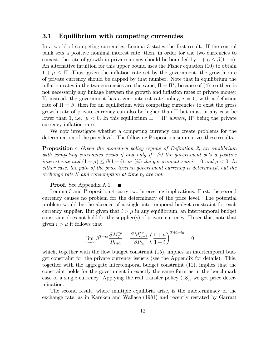### 3.1 Equilibrium with competing currencies

In a world of competing currencies, Lemma 3 states the first result. If the central bank sets a positive nominal interest rate, then, in order for the two currencies to coexist, the rate of growth in private money should be bounded by  $1 + \mu \leq \beta(1 + i)$ . An alternative intuition for this upper bound uses the Fisher equation (10) to obtain  $1 + \mu \leq \Pi$ . Thus, given the inflation rate set by the government, the growth rate of private currency should be capped by that number. Note that in equilibrium the inflation rates in the two currencies are the same,  $\Pi = \Pi^*$ , because of (4), so there is not necessarily any linkage between the growth and inflation rates of private money. If, instead, the government has a zero interest rate policy,  $i = 0$ , with a deflation rate of  $\Pi = \beta$ , then for an equilibrium with competing currencies to exist the gross growth rate of private currency can also be higher than  $\Pi$  but must in any case be lower than 1, i.e.  $\mu < 0$ . In this equilibrium  $\Pi = \Pi^*$  always,  $\Pi^*$  being the private currency inflation rate.

We now investigate whether a competing currency can create problems for the determination of the price level. The following Proposition summarizes these results.

**Proposition 4** Given the monetary policy regime of Definition 2, an equilibrium with competing currencies exists if and only if:  $(i)$  the government sets a positive interest rate and  $(1 + \mu) \leq \beta(1 + i)$ ; or (ii) the government sets  $i = 0$  and  $\mu < 0$ . In either case, the path of the price level in government currency is determined, but the exchange rate  $S$  and consumption at time  $t_0$  are not.

Proof. See Appendix A.1.  $\blacksquare$ 

Lemma 3 and Proposition 4 carry two interesting implications. First, the second currency causes no problem for the determinacy of the price level. The potential problem would be the absence of a single intertemporal budget constraint for each currency supplier. But given that  $i > \mu$  in any equilibrium, an intertemporal budget constraint does not hold for the supplier(s) of private currency. To see this, note that given  $i > \mu$  it follows that

$$
\lim_{T \to \infty} \beta^{T-t_0} \frac{S M_T^{*p}}{P_{T+1}} = \frac{S M_{t_0-1}^{*p}}{\beta P_{t_0}} \left( \frac{1+\mu}{1+i} \right)^{T+1-t_0} = 0
$$

which, together with the flow budget constraint  $(15)$ , implies an intertemporal budget constraint for the private currency issuers (see the Appendix for details). This, together with the aggregate intertemporal budget constraint (11), implies that the constraint holds for the government in exactly the same form as in the benchmark case of a single currency. Applying the real transfer policy (18), we get price determination.

The second result, where multiple equilibria arise, is the indeterminacy of the exchange rate, as in Kareken and Wallace (1981) and recently restated by Garratt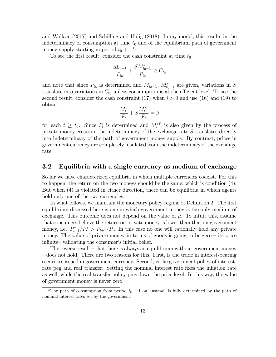and Wallace (2017) and Schilling and Uhlig (2018). In my model, this results in the indeterminacy of consumption at time  $t_0$  and of the equilibrium path of government money supply starting in period  $t_0 + 1$ <sup>15</sup>

To see the first result, consider the cash constraint at time  $t_0$ 

$$
\frac{M_{t_0-1}}{P_{t_0}} + \frac{SM_{t_0-1}^*}{P_{t_0}} \ge C_{t_0}
$$

and note that since  $P_{t_0}$  is determined and  $M_{t_0-1}$ ,  $M_{t_0-1}^*$  are given, variations in S translate into variations in  $C_{t_0}$  unless consumption is at the efficient level. To see the second result, consider the cash constraint  $(17)$  when  $i > 0$  and use  $(16)$  and  $(19)$  to obtain

$$
\frac{M_t^g}{P_t} + S\frac{M_t^{*p}}{P_t} = \beta
$$

for each  $t \geq t_0$ . Since  $P_t$  is determined and  $M_t^{*P}$  is also given by the process of private money creation, the indeterminacy of the exchange rate  $S$  translates directly into indeterminacy of the path of government money supply. By contrast, prices in government currency are completely insulated from the indeterminacy of the exchange rate.

### 3.2 Equilibria with a single currency as medium of exchange

So far we have characterized equilibria in which multiple currencies coexist. For this to happen, the return on the two moneys should be the same, which is condition (4). But when (4) is violated in either direction, there can be equilibria in which agents hold only one of the two currencies.

In what follows, we maintain the monetary policy regime of Definition 2. The first equilibrium discussed here is one in which government money is the only medium of exchange. This outcome does not depend on the value of  $\mu$ . To intuit this, assume that consumers believe the return on private money is lower than that on government money, i.e.  $P_{t+1}^*/P_t^* > P_{t+1}/P_t$ . In this case no one will rationally hold any private money. The value of private money in terms of goods is going to be zero  $-$  its price infinite validating the consumer's initial belief.

The reverse result  $-\text{that there is always an equilibrium without government money}$  $\alpha$  - does not hold. There are two reasons for this. First, is the trade in interest-bearing securities issued in government currency. Second, is the government policy of interestrate peg and real transfer. Setting the nominal interest rate fixes the inflation rate as well, while the real transfer policy pins down the price level. In this way, the value of government money is never zero.

<sup>&</sup>lt;sup>15</sup>The path of consumption from period  $t_0 + 1$  on, instead, is fully determined by the path of nominal interest rates set by the government.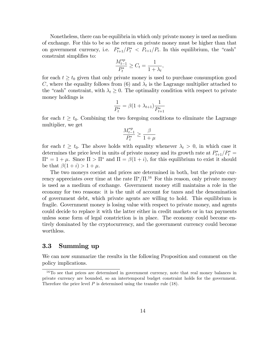Nonetheless, there can be equilibria in which only private money is used as medium of exchange. For this to be so the return on private money must be higher than that on government currency, i.e.  $P_{t+1}^*/P_t^* < P_{t+1}/P_t$ . In this equilibrium, the "cash" constraint simplifies to:

$$
\frac{M_{t-1}^{*p}}{P_t^*} \ge C_t = \frac{1}{1 + \lambda_t},
$$

for each  $t \geq t_0$  given that only private money is used to purchase consumption good C, where the equality follows from (6) and  $\lambda_t$  is the Lagrange multiplier attached to the "cash" constraint, with  $\lambda_t \geq 0$ . The optimality condition with respect to private money holdings is

$$
\frac{1}{P_t^*} = \beta(1 + \lambda_{t+1}) \frac{1}{P_{t+1}^*}
$$

for each  $t \geq t_0$ . Combining the two foregoing conditions to eliminate the Lagrange multiplier, we get

$$
\frac{M_{t-1}^{*p}}{P_t^*} \geq \frac{\beta}{1+\mu}
$$

for each  $t \geq t_0$ . The above holds with equality whenever  $\lambda_t > 0$ , in which case it determines the price level in units of private money and its growth rate at  $P_{t+1}^*/P_t^*$  $\Pi^* = 1 + \mu$ . Since  $\Pi > \Pi^*$  and  $\Pi = \beta(1 + i)$ , for this equilibrium to exist it should be that  $\beta(1+i) > 1 + \mu$ .

The two moneys coexist and prices are determined in both, but the private currency appreciates over time at the rate  $\prod^*/\prod^{16}$  For this reason, only private money is used as a medium of exchange. Government money still maintains a role in the economy for two reasons: it is the unit of account for taxes and the denomination of government debt, which private agents are willing to hold. This equilibrium is fragile. Government money is losing value with respect to private money, and agents could decide to replace it with the latter either in credit markets or in tax payments unless some form of legal constriction is in place. The economy could become entirely dominated by the cryptocurrency, and the government currency could become worthless.

### 3.3 Summing up

We can now summarize the results in the following Proposition and comment on the policy implications.

<sup>&</sup>lt;sup>16</sup>To see that prices are determined in government currency, note that real money balances in private currency are bounded, so an intertemporal budget constraint holds for the government. Therefore the price level  $P$  is determined using the transfer rule  $(18)$ .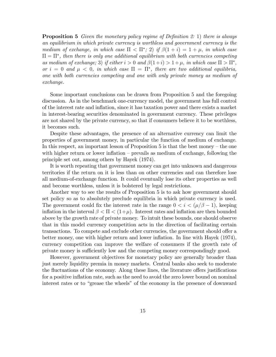**Proposition 5** Given the monetary policy regime of Definition 2: 1) there is always an equilibrium in which private currency is worthless and government currency is the medium of exchange, in which case  $\Pi < \Pi^*$ ; 2) if  $\beta(1+i) = 1 + \mu$ , in which case  $\Pi = \Pi^*$ , then there is only one additional equilibrium with both currencies competing as medium of exchange; 3) if either  $i > 0$  and  $\beta(1+i) > 1 + \mu$ , in which case  $\Pi > \Pi^*$ , or  $i = 0$  and  $\mu < 0$ , in which case  $\Pi = \Pi^*$ , there are two additional equilibria, one with both currencies competing and one with only private money as medium of exchange.

Some important conclusions can be drawn from Proposition 5 and the foregoing discussion. As in the benchmark one-currency model, the government has full control of the interest rate and ináation, since it has taxation power and there exists a market in interest-bearing securities denominated in government currency. These privileges are not shared by the private currency, so that if consumers believe it to be worthless, it becomes such.

Despite these advantages, the presence of an alternative currency can limit the properties of government money, in particular the function of medium of exchange. In this respect, an important lesson of Proposition  $5$  is that the best money  $-$  the one with higher return or lower inflation – prevails as medium of exchange, following the principle set out, among others by Hayek (1974).

It is worth repeating that government money can get into unknown and dangerous territories if the return on it is less than on other currencies and can therefore lose all medium-of-exchange function. It could eventually lose its other properties as well and become worthless, unless it is bolstered by legal restrictions.

Another way to see the results of Proposition 5 is to ask how government should set policy so as to absolutely preclude equilibria in which private currency is used. The government could fix the interest rate in the range  $0 < i < (\mu/\beta - 1)$ , keeping inflation in the interval  $\beta < \Pi < (1+\mu)$ . Interest rates and inflation are then bounded above by the growth rate of private money. To intuit these bounds, one should observe that in this model currency competition acts in the direction of facilitating certain transactions. To compete and exclude other currencies, the government should offer a better money, one with higher return and lower inflation. In line with Hayek (1974), currency competition can improve the welfare of consumers if the growth rate of private money is sufficiently low and the competing money correspondingly good.

However, government objectives for monetary policy are generally broader than just merely liquidity premia in money markets. Central banks also seek to moderate the fluctuations of the economy. Along these lines, the literature offers justifications for a positive inflation rate, such as the need to avoid the zero lower bound on nominal interest rates or to "grease the wheels" of the economy in the presence of downward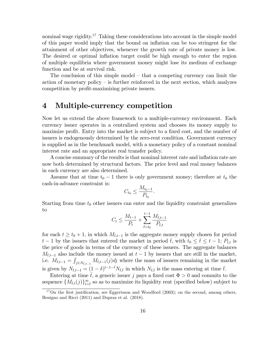nominal wage rigidity.<sup>17</sup> Taking these considerations into account in the simple model of this paper would imply that the bound on ináation can be too stringent for the attainment of other objectives, whenever the growth rate of private money is low. The desired or optimal inflation target could be high enough to enter the region of multiple equilibria where government money might lose its medium of exchange function and be at survival risk.

The conclusion of this simple model  $-$  that a competing currency can limit the action of monetary policy  $\overline{\phantom{a}}$  is further reinforced in the next section, which analyzes competition by profit-maximizing private issuers.

# 4 Multiple-currency competition

Now let us extend the above framework to a multiple-currency environment. Each currency issuer operates in a centralized system and chooses its money supply to maximize profit. Entry into the market is subject to a fixed cost, and the number of issuers is endogenously determined by the zero-rent condition. Government currency is supplied as in the benchmark model, with a monetary policy of a constant nominal interest rate and an appropriate real transfer policy.

A concise summary of the results is that nominal interest rate and inflation rate are now both determined by structural factors. The price level and real money balances in each currency are also determined.

Assume that at time  $t_0 - 1$  there is only government money; therefore at  $t_0$  the cash-in-advance constraint is:

$$
C_{t_0} \le \frac{M_{t_0-1}}{P_{t_0}}.
$$

Starting from time  $t_0$  other issuers can enter and the liquidity constraint generalizes to

$$
C_t \le \frac{M_{t-1}}{P_t} + \sum_{\bar{t}=t_0}^{t-1} \frac{M_{\bar{t},t-1}}{P_{\bar{t},t}}
$$

for each  $t \geq t_0 + 1$ , in which  $M_{\bar{t},t-1}$  is the aggregate money supply chosen for period  $t-1$  by the issuers that entered the market in period  $\bar{t}$ , with  $t_0 \leq \bar{t} \leq t-1$ ;  $P_{\bar{t},t}$  is the price of goods in terms of the currency of these issuers. The aggregate balances  $M_{\bar{t},t-1}$  also include the money issued at  $t-1$  by issuers that are still in the market, i.e.  $M_{\bar{t},t-1} = \int$  $\int_{j\in N_{\bar{t},t-1}} M_{\bar{t},t-1}(j)dj$  where the mass of issuers remaining in the market is given by  $N_{\bar{t},t-1} = (1-\delta)^{t-1-\bar{t}}N_{\bar{t},\bar{t}}$  in which  $N_{\bar{t},\bar{t}}$  is the mass entering at time  $\bar{t}$ .

Entering at time  $\bar{t}$ , a generic issuer j pays a fixed cost  $\Phi > 0$  and commits to the sequence  $\{M_{\bar{t},t}(j)\}_{t=\bar{t}}^{\infty}$  so as to maximize its liquidity rent (specified below) subject to

 $17$ On the first justification, see Eggertsson and Woodford (2003); on the second, among others, Benigno and Ricci (2011) and Dupraz et al. (2018).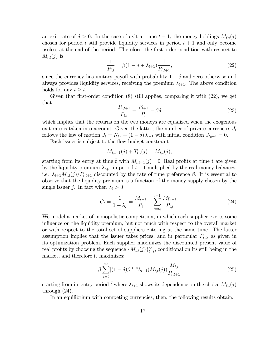an exit rate of  $\delta > 0$ . In the case of exit at time  $t + 1$ , the money holdings  $M_{\bar{t},t}(j)$ chosen for period t still provide liquidity services in period  $t + 1$  and only become useless at the end of the period. Therefore, the first-order condition with respect to  $M_{\bar{t},t}(j)$  is

$$
\frac{1}{P_{\bar{t},t}} = \beta(1 - \delta + \lambda_{t+1}) \frac{1}{P_{\bar{t},t+1}},
$$
\n(22)

since the currency has unitary payoff with probability  $1 - \delta$  and zero otherwise and always provides liquidity services, receiving the premium  $\lambda_{t+1}$ . The above condition holds for any  $t > \overline{t}$ .

Given that first-order condition  $(8)$  still applies, comparing it with  $(22)$ , we get that

$$
\frac{P_{\bar{t},t+1}}{P_{\bar{t},t}} = \frac{P_{t+1}}{P_t} - \beta \delta \tag{23}
$$

which implies that the returns on the two moneys are equalized when the exogenous exit rate is taken into account. Given the latter, the number of private currencies  $J_t$ follows the law of motion  $J_t = N_{t,t} + (1 - \delta)J_{t-1}$  with initial condition  $J_{t_0-1} = 0$ .

Each issuer is subject to the flow budget constraint

$$
M_{\bar{t},t-1}(j) + T_{\bar{t},t}(j) = M_{\bar{t},t}(j),
$$

starting from its entry at time  $\bar{t}$  with  $M_{\bar{t},\bar{t}-1}(j)=0$ . Real profits at time t are given by the liquidity premium  $\lambda_{t+1}$  in period  $t+1$  multiplied by the real money balances, i.e.  $\lambda_{t+1} M_{\bar{t},t}(j)/P_{\bar{t},t+1}$  discounted by the rate of time preference  $\beta$ . It is essential to observe that the liquidity premium is a function of the money supply chosen by the single issuer j. In fact when  $\lambda_t > 0$ 

$$
C_t = \frac{1}{1 + \lambda_t} = \frac{M_{t-1}}{P_t} + \sum_{\bar{t}=t_0}^{t-1} \frac{M_{\bar{t},t-1}}{P_{\bar{t},t}}.
$$
\n(24)

We model a market of monopolistic competition, in which each supplier exerts some influence on the liquidity premium, but not much with respect to the overall market or with respect to the total set of suppliers entering at the same time. The latter assumption implies that the issuer takes prices, and in particular  $P_{\bar{t},t}$ , as given in its optimization problem. Each supplier maximizes the discounted present value of real profits by choosing the sequence  $\{M_{\bar{t},t}(j)\}_{t=\bar{t}}^{\infty}$ , conditional on its still being in the market, and therefore it maximizes:

$$
\beta \sum_{t=\overline{t}}^{\infty} [(1-\delta)\beta]^{t-\overline{t}} \lambda_{t+1}(M_{\overline{t},t}(j)) \frac{M_{\overline{t},t}}{P_{\overline{t},t+1}}
$$
(25)

starting from its entry period  $\bar{t}$  where  $\lambda_{t+1}$  shows its dependence on the choice  $M_{\bar{t},t}(j)$ through (24).

In an equilibrium with competing currencies, then, the following results obtain.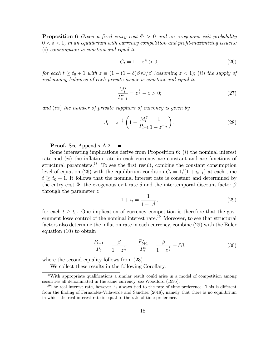**Proposition 6** Given a fixed entry cost  $\Phi > 0$  and an exogenous exit probability  $0 < \delta < 1$ , in an equilibrium with currency competition and profit-maximizing issuers: (i) consumption is constant and equal to

$$
C_t = 1 - z^{\frac{1}{2}} > 0,\tag{26}
$$

for each  $t \ge t_0 + 1$  with  $z \equiv (1 - (1 - \delta)\beta)\Phi/\beta$  (assuming  $z < 1$ ); (ii) the supply of real money balances of each private issuer is constant and equal to

$$
\frac{M_t^*}{P_{t+1}^*} = z^{\frac{1}{2}} - z > 0; \tag{27}
$$

and (iii) the number of private suppliers of currency is given by

$$
J_t = z^{-\frac{1}{2}} \left( 1 - \frac{M_t^g}{P_{t+1}} \frac{1}{1 - z^{-\frac{1}{2}}} \right). \tag{28}
$$

Proof. See Appendix A.2.

Some interesting implications derive from Proposition 6: (i) the nominal interest rate and  $(ii)$  the inflation rate in each currency are constant and are functions of structural parameters.<sup>18</sup> To see the first result, combine the constant consumption level of equation (26) with the equilibrium condition  $C_t = 1/(1 + i_{t-1})$  at each time  $t \geq t_0 + 1$ . It follows that the nominal interest rate is constant and determined by the entry cost  $\Phi$ , the exogenous exit rate  $\delta$  and the intertemporal discount factor  $\beta$ through the parameter z

$$
1 + i_t = \frac{1}{1 - z^{\frac{1}{2}}},\tag{29}
$$

for each  $t \geq t_0$ . One implication of currency competition is therefore that the government loses control of the nominal interest rate.<sup>19</sup> Moreover, to see that structural factors also determine the inflation rate in each currency, combine (29) with the Euler equation (10) to obtain

$$
\frac{P_{t+1}}{P_t} = \frac{\beta}{1 - z^{\frac{1}{2}}} \qquad \frac{P_{t+1}^*}{P_t^*} = \frac{\beta}{1 - z^{\frac{1}{2}}} - \delta\beta,\tag{30}
$$

where the second equality follows from  $(23)$ .

We collect these results in the following Corollary.

 $18$ With appropriate qualifications a similar result could arise in a model of competition among securities all denominated in the same currency, see Woodford (1995).

 $19$ The real interest rate, however, is always tied to the rate of time preference. This is different from the finding of Fernandez-Villaverde and Sanchez (2018), namely that there is no equilibrium in which the real interest rate is equal to the rate of time preference.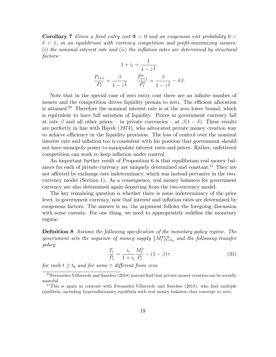**Corollary 7** Given a fixed entry cost  $\Phi > 0$  and an exogenous exit probability  $0 <$  $\delta$  < 1, in an equilibrium with currency competition and profit-maximizing issuers:  $(i)$  the nominal interest rate and  $(ii)$  the inflation rates are determined by structural factors:

$$
1 + i_t = \frac{1}{1 - z^{\frac{1}{2}}},
$$
  

$$
\frac{P_{t+1}}{P_t} = \frac{\beta}{1 - z^{\frac{1}{2}}} \qquad \frac{P_{t+1}^*}{P_t^*} = \frac{\beta}{1 - z^{\frac{1}{2}}} - \delta\beta.
$$

Note that in the special case of zero entry cost there are an infinite number of issuers and the competition drives liquidity premia to zero. The efficient allocation is attained.<sup>20</sup> Therefore the nominal interest rate is at the zero lower bound, which is equivalent to have full satiation of liquidity. Prices in government currency fall at rate  $\beta$  and all other prices – in private currencies – at  $\beta(1-\delta)$ . These results are perfectly in line with Hayek (1974), who advocated private money creation way to achieve efficiency in the liquidity provision. The loss of control over the nominal interest rate and inflation too is consistent with his position that government should not have monopoly power to manipulate interest rates and prices. Rather, unfettered competition can work to keep inflation under control.

An important further result of Proposition 6 is that equilibrium real money balances for each of private currency are uniquely determined and constant.<sup>21</sup> They are not affected by exchange rate indeterminacy, which was instead pervasive in the twocurrency model (Section 1). As a consequence, real money balances for government currency are also determined again departing from the two-currency model.

The key remaining question is whether there is some indeterminacy of the price level, in government currency, now that interest and inflation rates are determined by exogenous factors. The answer is no, the argument follows the foregoing discussion with some caveats. For one thing, we need to appropriately redefine the monetary regime.

**Definition 8** Assume the following specification of the monetary policy regime. The government sets the sequence of money supply  $\{M_t^g\}_{t=t_0}^{\infty}$  and the following transfer policy

$$
\frac{T_t}{P_t} = \frac{i_t}{1 + i_t} \frac{M_t^g}{P_t} - (1 - \beta)\tau
$$
\n(31)

for each  $t \geq t_0$  and for some  $\tau$  different from zero.

 $20$ Fernandez-Villaverde and Sanchez (2018) instead find that private money creation can be socially wasteful.

 $^{21}$ This is again in contrast with Fernandez-Villaverde and Sanches (2018), who find multiple equilibria, including hyperinflationary equilibria with real money balances that converge to zero.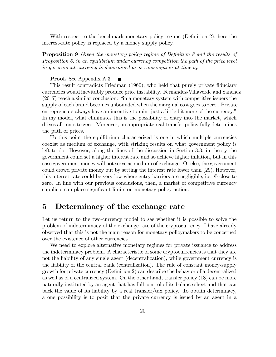With respect to the benchmark monetary policy regime (Definition 2), here the interest-rate policy is replaced by a money supply policy.

**Proposition 9** Given the monetary policy regime of Definition 8 and the results of Proposition 6, in an equilibrium under currency competition the path of the price level in government currency is determined as is consumption at time  $t_0$ .

#### Proof. See Appendix A.3.

This result contradicts Friedman (1960), who held that purely private fiduciary currencies would inevitably produce price instability. Fernandez-Villaverde and Sanchez  $(2017)$  reach a similar conclusion: "in a monetary system with competitive issuers the supply of each brand becomes unbounded when the marginal cost goes to zero...Private entrepreneurs always have an incentive to mint just a little bit more of the currency." In my model, what eliminates this is the possibility of entry into the market, which drives all rents to zero. Moreover, an appropriate real transfer policy fully determines the path of prices.

To this point the equilibrium characterized is one in which multiple currencies coexist as medium of exchange, with striking results on what government policy is left to do. However, along the lines of the discussion in Section 3.3, in theory the government could set a higher interest rate and so achieve higher ináation, but in this case government money will not serve as medium of exchange. Or else, the government could crowd private money out by setting the interest rate lower than (29): However, this interest rate could be very low where entry barriers are negligible, i.e.  $\Phi$  close to zero. In line with our previous conclusions, then, a market of competitive currency suppliers can place significant limits on monetary policy action.

# 5 Determinacy of the exchange rate

Let us return to the two-currency model to see whether it is possible to solve the problem of indeterminacy of the exchange rate of the cryptocurrency. I have already observed that this is not the main reason for monetary policymakers to be concerned over the existence of other currencies.

We need to explore alternative monetary regimes for private issuance to address the indeterminacy problem. A characteristic of some cryptocurrencies is that they are not the liability of any single agent (decentralization), while government currency is the liability of the central bank (centralization). The rule of constant money-supply growth for private currency (DeÖnition 2) can describe the behavior of a decentralized as well as of a centralized system. On the other hand, transfer policy (18) can be more naturally instituted by an agent that has full control of its balance sheet and that can back the value of its liability by a real transfer/tax policy. To obtain determinacy, a one possibility is to posit that the private currency is issued by an agent in a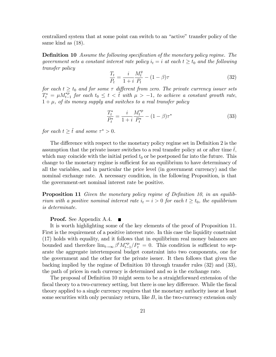centralized system that at some point can switch to an "active" transfer policy of the same kind as (18).

**Definition 10** Assume the following specification of the monetary policy regime. The government sets a constant interest rate policy  $i_t = i$  at each  $t \geq t_0$  and the following transfer policy

$$
\frac{T_t}{P_t} = \frac{i}{1+i} \frac{M_t^g}{P_t} - (1 - \beta)\tau
$$
\n(32)

for each  $t \geq t_0$  and for some  $\tau$  different from zero. The private currency issuer sets  $T_t^* = \mu M_{t-1}^{*p}$  for each  $t_0 \le t < \tilde{t}$  with  $\mu > -1$ , to achieve a constant growth rate,  $1 + \mu$ , of its money supply and switches to a real transfer policy

$$
\frac{T_t^*}{P_t^*} = \frac{i}{1+i} \frac{M_t^{*p}}{P_t^*} - (1-\beta)\tau^*
$$
\n(33)

for each  $t \geq \tilde{t}$  and some  $\tau^* > 0$ .

The difference with respect to the monetary policy regime set in Definition 2 is the assumption that the private issuer switches to a real transfer policy at or after time  $t$ , which may coincide with the initial period  $t_0$  or be postponed far into the future. This change to the monetary regime is sufficient for an equilibrium to have determinacy of all the variables, and in particular the price level (in government currency) and the nominal exchange rate. A necessary condition, in the following Proposition, is that the government-set nominal interest rate be positive.

**Proposition 11** Given the monetary policy regime of Definition 10, in an equilibrium with a positive nominal interest rate  $i_t = i > 0$  for each  $t \geq t_0$ , the equilibrium is determinate.

#### Proof. See Appendix A.4.

It is worth highlighting some of the key elements of the proof of Proposition 11. First is the requirement of a positive interest rate. In this case the liquidity constraint (17) holds with equality, and it follows that in equilibrium real money balances are bounded and therefore  $\lim_{t\to\infty} \beta^t M_{t-}^{*p}$  $t_{t-1}^{*p}/P_t^* = 0$ . This condition is sufficient to separate the aggregate intertemporal budget constraint into two components, one for the government and the other for the private issuer. It then follows that given the backing implied by the regime of Definition 10 through transfer rules  $(32)$  and  $(33)$ , the path of prices in each currency is determined and so is the exchange rate.

The proposal of Definition 10 might seem to be a straightforward extension of the fiscal theory to a two-currency setting, but there is one key difference. While the fiscal theory applied to a single currency requires that the monetary authority issue at least some securities with only pecuniary return, like  $B$ , in the two-currency extension only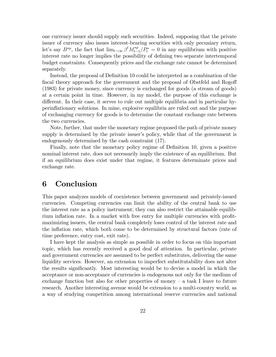one currency issuer should supply such securities. Indeed, supposing that the private issuer of currency also issues interest-bearing securities with only pecuniary return, let's say  $B^{*p}$ , the fact that  $\lim_{t\to\infty} \beta^t M_{t-}^{*p}$  $t_{t-1}^{*p}/P_t^* = 0$  in any equilibrium with positive interest rate no longer implies the possibility of defining two separate intertemporal budget constraints. Consequently prices and the exchange rate cannot be determined separately.

Instead, the proposal of Definition 10 could be interpreted as a combination of the fiscal theory approach for the government and the proposal of Obstfeld and Rogoff (1983) for private money, since currency is exchanged for goods (a stream of goods) at a certain point in time. However, in my model, the purpose of this exchange is different. In their case, it serves to rule out multiple equilibria and in particular hyperináationary solutions. In mine, explosive equilibria are ruled out and the purpose of exchanging currency for goods is to determine the constant exchange rate between the two currencies.

Note, further, that under the monetary regime proposed the path of private money supply is determined by the private issuer's policy, while that of the government is endogenously determined by the cash constraint (17).

Finally, note that the monetary policy regime of Definition 10, given a positive nominal interest rate, does not necessarily imply the existence of an equilibrium. But if an equilibrium does exist under that regime, it features determinate prices and exchange rate.

### 6 Conclusion

This paper analyzes models of coexistence between government and privately-issued currencies. Competing currencies can limit the ability of the central bank to use the interest rate as a policy instrument; they can also restrict the attainable equilibrium inflation rate. In a market with free entry for multiple currencies with profitmaximizing issuers, the central bank completely loses control of the interest rate and the inflation rate, which both come to be determined by structural factors (rate of time preference, entry cost, exit rate).

I have kept the analysis as simple as possible in order to focus on this important topic, which has recently received a good deal of attention. In particular, private and government currencies are assumed to be perfect substitutes, delivering the same liquidity services. However, an extension to imperfect substitutability does not alter the results significantly. Most interesting would be to devise a model in which the acceptance or non-acceptance of currencies is endogenous not only for the medium of exchange function but also for other properties of money  $-$  a task I leave to future research. Another interesting avenue would be extension to a multi-country world, as a way of studying competition among international reserve currencies and national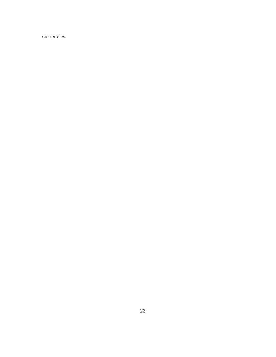currencies.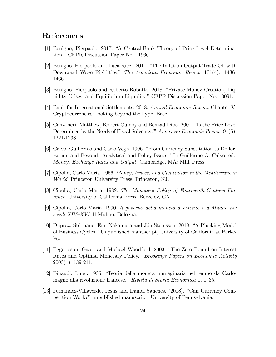# References

- [1] Benigno, Pierpaolo. 2017. "A Central-Bank Theory of Price Level Determination." CEPR Discussion Paper No. 11966.
- [2] Benigno, Pierpaolo and Luca Ricci. 2011. "The Inflation-Output Trade-Off with Downward Wage Rigidities." The American Economic Review 101(4): 1436-1466.
- [3] Benigno, Pierpaolo and Roberto Robatto. 2018. "Private Money Creation, Liquidity Crises, and Equilibrium Liquidity." CEPR Discussion Paper No. 13091.
- [4] Bank for International Settlements. 2018. Annual Economic Report. Chapter V. Cryptocurrencies: looking beyond the hype. Basel.
- [5] Canzoneri, Matthew, Robert Cumby and Behzad Diba. 2001. "Is the Price Level Determined by the Needs of Fiscal Solvency?" American Economic Review 91(5): 1221-1238.
- [6] Calvo, Guillermo and Carlo Vegh. 1996. "From Currency Substitution to Dollarization and Beyond: Analytical and Policy Issues." In Guillermo A. Calvo, ed., Money, Exchange Rates and Output. Cambridge, MA: MIT Press.
- [7] Cipolla, Carlo Maria. 1956. Money, Prices, and Civilization in the Mediterranean World. Princeton University Press, Princeton, NJ.
- [8] Cipolla, Carlo Maria. 1982. The Monetary Policy of Fourteenth-Century Florence. University of California Press, Berkeley, CA.
- [9] Cipolla, Carlo Maria. 1990. Il governo della moneta a Firenze e a Milano nei secoli  $XIV-XVI$ . Il Mulino, Bologna.
- [10] Dupraz, Stéphane, Emi Nakamura and Jón Steinsson. 2018. "A Plucking Model of Business Cycles." Unpublished manuscript, University of California at Berkeley.
- [11] Eggertsson, Gauti and Michael Woodford. 2003. "The Zero Bound on Interest Rates and Optimal Monetary Policy." *Brookings Papers on Economic Activity* 2003(1), 139-211.
- [12] Einaudi, Luigi. 1936. "Teoria della moneta immaginaria nel tempo da Carlomagno alla rivoluzione francese." Rivista di Storia Economica 1, 1–35.
- [13] Fernandez-Villaverde, Jesus and Daniel Sanches. (2018). "Can Currency Competition Work?" unpublished manuscript, University of Pennsylvania.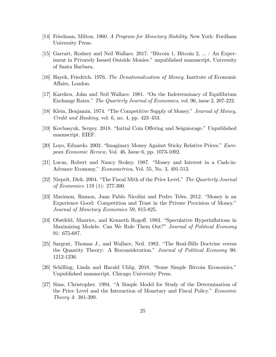- [14] Friedman, Milton. 1960. A Program for Monetary Stability. New York: Fordham University Press.
- [15] Garratt, Rodney and Neil Wallace. 2017. "Bitcoin 1, Bitcoin 2, ... : An Experiment in Privately Issued Outside Monies." unpublished manuscript, University of Santa Barbara.
- [16] Hayek, Friedrich. 1976. The Denationalization of Money. Institute of Economic Affairs, London.
- [17] Kareken, John and Neil Wallace. 1981. "On the Indeterminacy of Equilibrium Exchange Rates." The Quarterly Journal of Economics, vol. 96, issue 2, 207-222.
- [18] Klein, Benjamin. 1974. "The Competitive Supply of Money." *Journal of Money*, *Credit and Banking*, vol. 6, no. 4, pp.  $423-453$ .
- [19] Kovbasyuk, Sergey. 2018. "Initial Coin Offering and Seigniorage." Unpublished manuscript. EIEF.
- [20] Loyo, Eduardo. 2002. "Imaginary Money Against Sticky Relative Prices."  $Euro$ pean Economic Review, Vol. 46, Issue 6, pp. 1073-1092.
- $[21]$  Lucas, Robert and Nancy Stokey. 1987. "Money and Interest in a Cash-in-Advance Economy," *Econometrica*, Vol. 55, No. 3, 491-513.
- [22] Niepelt, Dirk. 2004. "The Fiscal Mith of the Price Level." The Quarterly Journal of Economics 119 (1): 277-300.
- [23] Marimon, Ramon, Juan Pablo Nicolini and Pedro Teles. 2012. "Money is an Experience Good: Competition and Trust in the Private Provision of Money." Journal of Monetary Economics 59, 815-825.
- [24] Obstfeld, Maurice, and Kenneth Rogoff. 1983. "Speculative Hyperinflations in Maximizing Models: Can We Rule Them Out?" Journal of Political Economy 91: 675-687.
- [25] Sargent, Thomas J., and Wallace, Neil. 1982. "The Real-Bills Doctrine versus the Quantity Theory: A Reconsideration." Journal of Political Economy 90: 1212-1236.
- [26] Schilling, Linda and Harald Uhlig. 2018. "Some Simple Bitcoin Economics." Unpublished manuscript. Chicago University Press.
- [27] Sims, Christopher. 1994. "A Simple Model for Study of the Determination of the Price Level and the Interaction of Monetary and Fiscal Policy." *Economic* Theory 4: 381-399.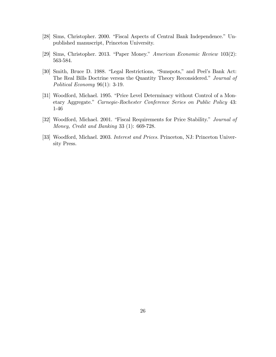- [28] Sims, Christopher. 2000. "Fiscal Aspects of Central Bank Independence." Unpublished manuscript, Princeton University.
- [29] Sims, Christopher. 2013. "Paper Money." American Economic Review 103(2): 563-584.
- [30] Smith, Bruce D. 1988. "Legal Restrictions, "Sunspots," and Peel's Bank Act: The Real Bills Doctrine versus the Quantity Theory Reconsidered." Journal of Political Economy 96(1): 3-19.
- [31] Woodford, Michael. 1995. "Price Level Determinacy without Control of a Monetary Aggregate." Carnegie-Rochester Conference Series on Public Policy 43: 1-46
- [32] Woodford, Michael. 2001. "Fiscal Requirements for Price Stability." Journal of Money, Credit and Banking 33 (1): 669-728.
- [33] Woodford, Michael. 2003. Interest and Prices. Princeton, NJ: Princeton University Press.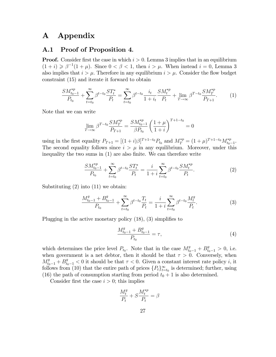# A Appendix

#### A.1 Proof of Proposition 4.

**Proof.** Consider first the case in which  $i > 0$ . Lemma 3 implies that in an equilibrium  $(1+i) \geq \beta^{-1}(1+\mu)$ . Since  $0 < \beta < 1$ , then  $i > \mu$ . When instead  $i = 0$ , Lemma 3 also implies that  $i > \mu$ . Therefore in any equilibrium  $i > \mu$ . Consider the flow budget constraint (15) and iterate it forward to obtain

$$
\frac{SM_{t_0-1}^{*p}}{P_{t_0}} + \sum_{t=t_0}^{\infty} \beta^{t-t_0} \frac{ST_t^*}{P_t} = \sum_{t=t_0}^{\infty} \beta^{t-t_0} \frac{i_t}{1+i_t} \frac{SM_t^{*p}}{P_t} + \lim_{T \to \infty} \beta^{T-t_0} \frac{SM_T^{*p}}{P_{T+1}}.
$$
 (1)

Note that we can write

$$
\lim_{T \to \infty} \beta^{T-t_0} \frac{S M_T^{*p}}{P_{T+1}} = \frac{S M_{t_0-1}^{*p}}{\beta P_{t_0}} \left( \frac{1+\mu}{1+i} \right)^{T+1-t_0} = 0
$$

using in the first equality  $P_{T+1} = [(1+i)\beta]^{T+1-t_0} P_{t_0}$  and  $M_T^{*p} = (1+\mu)^{T+1-t_0} M_{t_0}^{*p}$  $\binom{*}{0}$ . The second equality follows since  $i > \mu$  in any equilibrium. Moreover, under this inequality the two sums in  $(1)$  are also finite. We can therefore write

$$
\frac{SM_{t_0-1}^{*p}}{P_{t_0}} + \sum_{t=t_0}^{\infty} \beta^{t-t_0} \frac{ST_t^*}{P_t} = \frac{i}{1+i} \sum_{t=t_0}^{\infty} \beta^{t-t_0} \frac{SM_t^{*p}}{P_t}.
$$
 (2)

Substituting  $(2)$  into  $(11)$  we obtain:

$$
\frac{M_{t_0-1}^g + B_{t_0-1}^g}{P_{t_0}} + \sum_{t=t_0}^{\infty} \beta^{t-t_0} \frac{T_t}{P_t} = \frac{i}{1+i} \sum_{t=t_0}^{\infty} \beta^{t-t_0} \frac{M_t^g}{P_t}.
$$
 (3)

Plugging in the active monetary policy  $(18)$ ,  $(3)$  simplifies to

$$
\frac{M_{t_0-1}^g + B_{t_0-1}^g}{P_{t_0}} = \tau,
$$
\n<sup>(4)</sup>

which determines the price level  $P_{t_0}$ . Note that in the case  $M_{t_0-1}^g + B_{t_0-1}^g > 0$ , i.e. when government is a net debtor, then it should be that  $\tau > 0$ . Conversely, when  $M_{t_0-1}^g + B_{t_0-1}^g < 0$  it should be that  $\tau < 0$ . Given a constant interest rate policy i, it follows from (10) that the entire path of prices  $\{P_t\}_{t=t_0}^{\infty}$  is determined; further, using (16) the path of consumption starting from period  $t_0 + 1$  is also determined.

Consider first the case  $i > 0$ ; this implies

$$
\frac{M_t^g}{P_t} + S\frac{M_t^{*p}}{P_t} = \beta
$$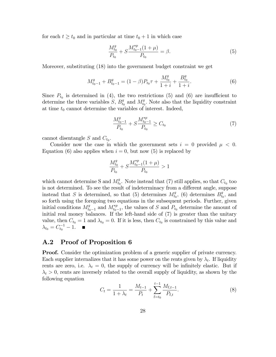for each  $t \geq t_0$  and in particular at time  $t_0 + 1$  in which case

$$
\frac{M_{t_0}^g}{P_{t_0}} + S \frac{M_{t_0-1}^{*p}(1+\mu)}{P_{t_0}} = \beta.
$$
\n(5)

Moreover, substituting (18) into the government budget constraint we get

$$
M_{t_0-1}^g + B_{t_0-1}^g = (1 - \beta)P_{t_0}\tau + \frac{M_{t_0}^g}{1 + i} + \frac{B_{t_0}^g}{1 + i}.
$$
 (6)

Since  $P_{t_0}$  is determined in (4), the two restrictions (5) and (6) are insufficient to determine the three variables  $S, B_t^g$  $t_0^g$  and  $M_{t_0}^g$  $t_0^g$ . Note also that the liquidity constraint at time  $t_0$  cannot determine the variables of interest. Indeed,

$$
\frac{M_{t_0-1}^g}{P_{t_0}} + S \frac{M_{t_0-1}^{*p}}{P_{t_0}} \ge C_{t_0}
$$
\n
$$
\tag{7}
$$

cannot disentangle S and  $C_{t_0}$ .

Consider now the case in which the government sets  $i = 0$  provided  $\mu < 0$ . Equation (6) also applies when  $i = 0$ , but now (5) is replaced by

$$
\frac{M_{t_0}^g}{P_{t_0}}+S\frac{M_{t_0-1}^{*p}(1+\mu)}{P_{t_0}}>1
$$

which cannot determine S and  $M_t^g$  $t_0^g$ . Note instead that (7) still applies, so that  $C_{t_0}$  too is not determined. To see the result of indeterminacy from a different angle, suppose instead that S is determined, so that (5) determines  $M_t^g$  $t_0^g$ , (6) determines  $B_{t_0}^g$  $_{t_0}^g$ , and so forth using the foregoing two equations in the subsequent periods. Further, given initial conditions  $M_{t_0-1}^g$  and  $M_{t_0}^{*p}$  $t_{t_0-1}^{*p}$ , the values of S and  $P_{t_0}$  determine the amount of initial real money balances. If the left-hand side of (7) is greater than the unitary value, then  $C_{t_0} = 1$  and  $\lambda_{t_0} = 0$ . If it is less, then  $C_{t_0}$  is constrained by this value and  $\lambda_{t_0} = C_{t_0}^{-1} - 1.$  $\blacksquare$ 

### A.2 Proof of Proposition 6

Proof. Consider the optimization problem of a generic supplier of private currency. Each supplier internalizes that it has some power on the rents given by  $\lambda_t$ . If liquidity rents are zero, i.e.  $\lambda_t = 0$ , the supply of currency will be infinitely elastic. But if  $\lambda_t > 0$ , rents are inversely related to the overall supply of liquidity, as shown by the following equation

$$
C_t = \frac{1}{1 + \lambda_t} = \frac{M_{t-1}}{P_t} + \sum_{\bar{t}=t_0}^{t-1} \frac{M_{\bar{t},t-1}}{P_{\bar{t},t}}.
$$
\n(8)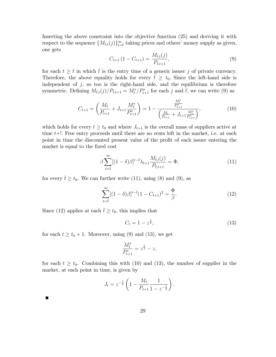Inserting the above constraint into the objective function (25) and deriving it with respect to the sequence  $\{M_{\bar{t},t}(j)\}_{t=\bar{t}}^{\infty}$  taking prices and others' money supply as given, one gets

$$
C_{t+1} (1 - C_{t+1}) = \frac{M_{\bar{t},t}(j)}{P_{\bar{t},t+1}},
$$
\n(9)

for each  $t \geq \overline{t}$  in which  $\overline{t}$  is the entry time of a generic issuer j of private currency. Therefore, the above equality holds for every  $\bar{t} \geq t_0$ . Since the left-hand side is independent of  $j$ , so too is the right-hand side, and the equilibrium is therefore symmetric. Defining  $M_{\bar{t},t}(j)/P_{\bar{t},t+1} = M_t^*/P_{t+1}^*$  for each j and  $\bar{t}$ , we can write (9) as

$$
C_{t+1} = \left(\frac{M_t}{P_{t+1}} + J_{t+1} \frac{M_t^*}{P_{t+1}^*}\right) = 1 - \frac{\frac{M_t^*}{P_{t+1}^*}}{\left(\frac{M_t}{P_{t+1}} + J_{t+1} \frac{M_t^*}{P_{t+1}^*}\right)},\tag{10}
$$

which holds for every  $t \geq t_0$  and where  $J_{t+1}$  is the overall mass of suppliers active at time t+!. Free entry proceeds until there are no rents left in the market, i.e. at each point in time the discounted present value of the profit of each issuer entering the market is equal to the fixed cost

$$
\beta \sum_{t=\bar{t}}^{\infty} [(1-\delta)\beta]^{t-\bar{t}} \lambda_{t+1} \frac{M_{\bar{t},t}(j)}{P_{\bar{t},t+1}} = \Phi,
$$
\n(11)

for every  $\bar{t} \geq t_0$ . We can further write (11), using (8) and (9), as

$$
\sum_{t=\bar{t}}^{\infty} [(1-\delta)\beta]^{t-\bar{t}} (1-C_{t+1})^2 = \frac{\Phi}{\beta}.
$$
\n(12)

Since (12) applies at each  $\bar{t} \geq t_0$ , this implies that

$$
C_t = 1 - z^{\frac{1}{2}}, \tag{13}
$$

for each  $t \ge t_0 + 1$ . Moreover, using (9) and (13), we get

$$
\frac{M_t^*}{P_{t+1}^*} = z^{\frac{1}{2}} - z,
$$

for each  $t \geq t_0$ . Combining this with (10) and (13), the number of supplier in the market, at each point in time, is given by

$$
J_t = z^{-\frac{1}{2}} \left( 1 - \frac{M_t}{P_{t+1}} \frac{1}{1 - z^{-\frac{1}{2}}} \right).
$$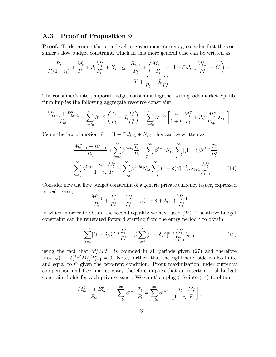### A.3 Proof of Proposition 9

**Proof.** To determine the price level in government currency, consider first the consumer's flow budget constraint, which in this more general case can be written as

$$
\frac{B_t}{P_t(1+i_t)} + \frac{M_t}{P_t} + J_t \frac{M_t^*}{P_t^*} + X_t \leq \frac{B_{t-1}}{P_t} + \left(\frac{M_{t-1}}{P_t} + (1-\delta)J_{t-1} \frac{M_{t-1}^*}{P_t^*} - C_t\right) + \\ + Y + \frac{T_t}{P_t} + J_t \frac{T_t^*}{P_t^*}.
$$

The consumer's intertemporal budget constraint together with goods market equilibrium implies the following aggregate resource constraint:

$$
\frac{M_{t_0-1}^g + B_{t_0-1}^g}{P_{t_0}} + \sum_{t=t_0}^{\infty} \beta^{t-t_0} \left( \frac{T_t}{P_t} + J_t \frac{T_t^*}{P_t^*} \right) = \sum_{t=t_0}^{\infty} \beta^{t-t_0} \left[ \frac{i_t}{1+i_t} \frac{M_t^g}{P_t} + J_t \beta \frac{M_t^*}{P_{t+1}^*} \lambda_{t+1} \right].
$$

Using the law of motion  $J_t = (1 - \delta)J_{t-1} + N_{t,t}$ , this can be written as

$$
\frac{M_{t_0-1}^g + B_{t_0-1}^g}{P_{t_0}} + \sum_{t=t_0}^{\infty} \beta^{t-t_0} \frac{T_t}{P_t} + \sum_{\bar{t}=t_0}^{\infty} \beta^{\bar{t}-t_0} N_{\bar{t},t} \sum_{t=\bar{t}}^{\infty} [(1-\delta)\beta]^{t-\bar{t}} \frac{T_t^*}{P_t^*}
$$
\n
$$
= \sum_{t=t_0}^{\infty} \beta^{t-t_0} \frac{i_t}{1+i_t} \frac{M_t^g}{P_t} + \sum_{\bar{t}=t_0}^{\infty} \beta^{\bar{t}-t_0} N_{\bar{t},t} \sum_{t=\bar{t}}^{\infty} [(1-\delta)\beta]^{t-\bar{t}} \beta \lambda_{t+1} \frac{M_t^*}{P_{t+1}^*}. \tag{14}
$$

Consider now the flow budget constraint of a generic private currency issuer, expressed in real terms,

$$
\frac{M_{t-1}^*}{P_t^*} + \frac{T_t^*}{P_t^*} = \frac{M_t^*}{P_t^*} = \beta(1 - \delta + \lambda_{t+1})\frac{M_{t-1}^*}{P_t^*}
$$

in which in order to obtain the second equality we have used (22). The above budget constraint can be reiterated forward starting from the entry period t to obtain

$$
\sum_{t=\bar{t}}^{\infty} [(1-\delta)\beta]^{t-\bar{t}} \frac{T_t^*}{P_t^*} = \beta \sum_{t=\bar{t}}^{\infty} [(1-\delta)\beta]^{t-\bar{t}} \frac{M_t^*}{P_{t+1}^*} \lambda_{t+1}
$$
(15)

using the fact that  $M_t^*/P_{t+1}^*$  is bounded in all periods given (27) and therefore  $\lim_{t\to\infty}(1-\delta)^t \beta^t M_t^*/P_{t+1}^* = 0.$  Note, further, that the right-hand side is also finite and equal to  $\Phi$  given the zero-rent condition. Profit maximization under currency competition and free market entry therefore implies that an intertemporal budget constraint holds for each private issuer. We can then plug (15) into (14) to obtain

$$
\frac{M_{t_0-1}^g + B_{t_0-1}^g}{P_{t_0}} + \sum_{t=t_0}^{\infty} \beta^{t-t_0} \frac{T_t}{P_t} = \sum_{t=t_0}^{\infty} \beta^{t-t_0} \left[ \frac{i_t}{1+i_t} \frac{M_t^g}{P_t} \right],
$$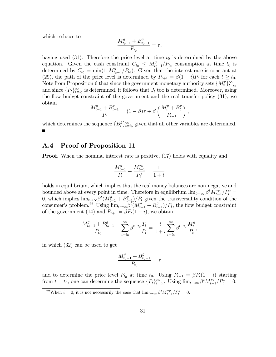which reduces to

$$
\frac{M_{t_0-1}^g+B_{t_0-1}^g}{P_{t_0}}=\tau,
$$

having used (31). Therefore the price level at time  $t_0$  is determined by the above equation. Given the cash constraint  $C_{t_0} \leq M_{t_0}^g$  $t_{0-1}/P_{t_0}$  consumption at time  $t_0$  is determined by  $C_{t_0} = \min(1, M_{t_0-1}^g/P_{t_0})$ . Given that the interest rate is constant at (29), the path of the price level is determined by  $P_{t+1} = \beta(1+i)P_t$  for each  $t \geq t_0$ . Note from Proposition 6 that since the government monetary authority sets  $\{M_t^g\}_{t=t_0}^{\infty}$ and since  $\{P_t\}_{t=t_0}^{\infty}$  is determined, it follows that  $J_t$  too is determined. Moreover, using the flow budget constraint of the government and the real transfer policy  $(31)$ , we obtain

$$
\frac{M_{t-1}^g + B_{t-1}^g}{P_t} = (1 - \beta)\tau + \beta \left( \frac{M_t^g + B_t^g}{P_{t+1}} \right),
$$

which determines the sequence  ${B_t^g}_{t=t_0}^{\infty}$  given that all other variables are determined.

### A.4 Proof of Proposition 11

**Proof.** When the nominal interest rate is positive,  $(17)$  holds with equality and

$$
\frac{M_{t-1}^g}{P_t} + \frac{M_{t-1}^{*p}}{P_t^*} = \frac{1}{1+i}
$$

holds in equilibrium, which implies that the real money balances are non-negative and bounded above at every point in time. Therefore in equilibrium  $\lim_{t\to\infty} \beta^t M_{t-1}^{*p}/P_t^* =$  $t-1$ 0, which implies  $\lim_{t\to\infty}\beta^t(M_{t-1}^g+B_t^g)$  $\frac{g}{t-1}/P_t$  given the transversality condition of the consumer's problem.<sup>22</sup> Using  $\lim_{t\to\infty}\beta^t(M_{t-1}^g + B_t^g)$  $\binom{g}{t-1}/P_t$ , the flow budget constraint of the government (14) and  $P_{t+1} = \beta P_t(1+i)$ , we obtain

$$
\frac{M_{t_0-1}^g + B_{t_0-1}^g}{P_{t_0}} + \sum_{t=t_0}^{\infty} \beta^{t-t_0} \frac{T_t}{P_t} = \frac{i}{1+i} \sum_{t=t_0}^{\infty} \beta^{t-t_0} \frac{M_t^g}{P_t},
$$

in which (32) can be used to get

$$
\frac{M_{t_0-1}^g + B_{t_0-1}^g}{P_{t_0}} = \tau
$$

and to determine the price level  $P_{t_0}$  at time  $t_0$ . Using  $P_{t+1} = \beta P_t(1 + i)$  starting from  $t = t_0$ , one can determine the sequence  $\{P_t\}_{t=t_0}^{\infty}$ . Using  $\lim_{t\to\infty} \beta^t M_{t-}^{*p}$  $t_{t-1}^{*p}/P_t^* = 0,$ 

<sup>&</sup>lt;sup>22</sup>When  $i = 0$ , it is not necessarily the case that  $\lim_{t \to \infty} \beta^t M_{t-1}^{*p}/P_t^* = 0$ .